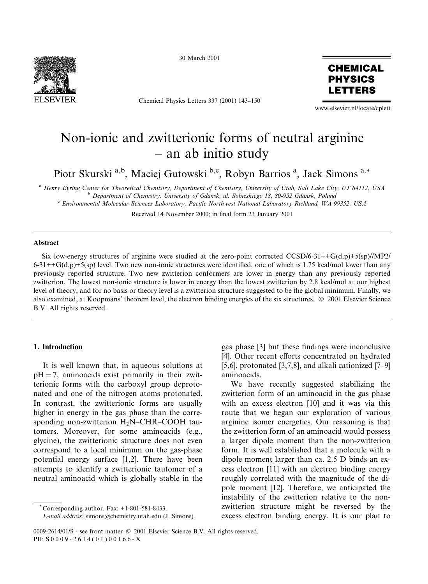

30 March 2001

Chemical Physics Letters 337 (2001) 143-150



www.elsevier.nl/locate/cplett

# Non-ionic and zwitterionic forms of neutral arginine  $-$  an ab initio study

Piotr Skurski<sup>a,b</sup>, Maciej Gutowski<sup>b,c</sup>, Robyn Barrios<sup>a</sup>, Jack Simons<sup>a,\*</sup>

<sup>a</sup> Henry Eyring Center for Theoretical Chemistry, Department of Chemistry, University of Utah, Salt Lake City, UT 84112, USA <sup>b</sup> Department of Chemistry, University of Gdansk, ul. Sobieskiego 18, 80-952 Gdansk, Poland <sup>c</sup> Environmental Molecular Sciences Laboratory, Pacific Northwest National Laboratory Richland, WA 99352, USA

Received 14 November 2000; in final form 23 January 2001

#### Abstract

Six low-energy structures of arginine were studied at the zero-point corrected CCSD/6-31++G(d,p)+5(sp)//MP2/  $6-31++G(d,p)+5(sp)$  level. Two new non-ionic structures were identified, one of which is 1.75 kcal/mol lower than any previously reported structure. Two new zwitterion conformers are lower in energy than any previously reported zwitterion. The lowest non-ionic structure is lower in energy than the lowest zwitterion by 2.8 kcal/mol at our highest level of theory, and for no basis or theory level is a zwitterion structure suggested to be the global minimum. Finally, we also examined, at Koopmans' theorem level, the electron binding energies of the six structures. © 2001 Elsevier Science B.V. All rights reserved.

### 1. Introduction

It is well known that, in aqueous solutions at  $pH = 7$ , aminoacids exist primarily in their zwitterionic forms with the carboxyl group deprotonated and one of the nitrogen atoms protonated. In contrast, the zwitterionic forms are usually higher in energy in the gas phase than the corresponding non-zwitterion H<sub>2</sub>N-CHR-COOH tautomers. Moreover, for some aminoacids (e.g., glycine), the zwitterionic structure does not even correspond to a local minimum on the gas-phase potential energy surface [1,2]. There have been attempts to identify a zwitterionic tautomer of a neutral aminoacid which is globally stable in the

Corresponding author. Fax: +1-801-581-8433.

gas phase [3] but these findings were inconclusive [4]. Other recent efforts concentrated on hydrated [5,6], protonated [3,7,8], and alkali cationized  $[7-9]$ aminoacids.

We have recently suggested stabilizing the zwitterion form of an aminoacid in the gas phase with an excess electron [10] and it was via this route that we began our exploration of various arginine isomer energetics. Our reasoning is that the zwitterion form of an aminoacid would possess a larger dipole moment than the non-zwitterion form. It is well established that a molecule with a dipole moment larger than ca. 2.5 D binds an excess electron [11] with an electron binding energy roughly correlated with the magnitude of the dipole moment [12]. Therefore, we anticipated the instability of the zwitterion relative to the nonzwitterion structure might be reversed by the excess electron binding energy. It is our plan to

0009-2614/01/\$ - see front matter © 2001 Elsevier Science B.V. All rights reserved. PII:  $S0009 - 2614(01)00166 - X$ 

E-mail address: simons@chemistry.utah.edu (J. Simons).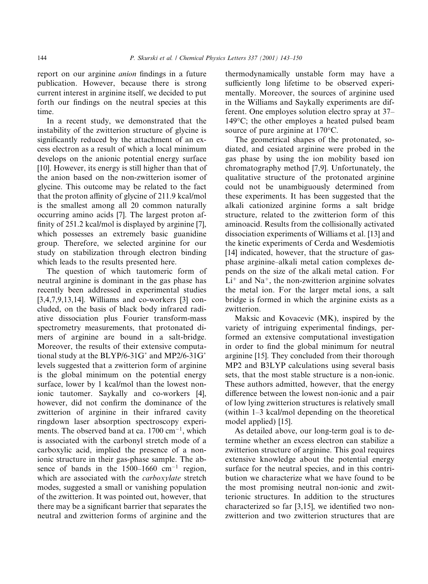report on our arginine *anion* findings in a future publication. However, because there is strong current interest in arginine itself, we decided to put forth our findings on the neutral species at this time.

In a recent study, we demonstrated that the instability of the zwitterion structure of glycine is significantly reduced by the attachment of an excess electron as a result of which a local minimum develops on the anionic potential energy surface [10]. However, its energy is still higher than that of the anion based on the non-zwitterion isomer of glycine. This outcome may be related to the fact that the proton affinity of glycine of 211.9 kcal/mol is the smallest among all 20 common naturally occurring amino acids [7]. The largest proton affinity of 251.2 kcal/mol is displayed by arginine [7], which possesses an extremely basic guanidine group. Therefore, we selected arginine for our study on stabilization through electron binding which leads to the results presented here.

The question of which tautomeric form of neutral arginine is dominant in the gas phase has recently been addressed in experimental studies  $[3,4,7,9,13,14]$ . Williams and co-workers  $[3]$  concluded, on the basis of black body infrared radiative dissociation plus Fourier transform-mass spectrometry measurements, that protonated dimers of arginine are bound in a salt-bridge. Moreover, the results of their extensive computational study at the BLYP/6-31G<sup>\*</sup> and MP2/6-31G<sup>\*</sup> levels suggested that a zwitterion form of arginine is the global minimum on the potential energy surface, lower by 1 kcal/mol than the lowest nonionic tautomer. Saykally and co-workers [4], however, did not confirm the dominance of the zwitterion of arginine in their infrared cavity ringdown laser absorption spectroscopy experiments. The observed band at ca.  $1700 \text{ cm}^{-1}$ , which is associated with the carbonyl stretch mode of a carboxylic acid, implied the presence of a nonionic structure in their gas-phase sample. The absence of bands in the  $1500-1660$  cm<sup>-1</sup> region, which are associated with the *carboxylate* stretch modes, suggested a small or vanishing population of the zwitterion. It was pointed out, however, that there may be a significant barrier that separates the neutral and zwitterion forms of arginine and the

thermodynamically unstable form may have a sufficiently long lifetime to be observed experimentally. Moreover, the sources of arginine used in the Williams and Saykally experiments are different. One employes solution electro spray at 37– 149 $\degree$ C; the other employes a heated pulsed beam source of pure arginine at  $170^{\circ}$ C.

The geometrical shapes of the protonated, sodiated, and cesiated arginine were probed in the gas phase by using the ion mobility based ion chromatography method [7,9]. Unfortunately, the qualitative structure of the protonated arginine could not be unambiguously determined from these experiments. It has been suggested that the alkali cationized arginine forms a salt bridge structure, related to the zwitterion form of this aminoacid. Results from the collisionally activated dissociation experiments of Williams et al. [13] and the kinetic experiments of Cerda and Wesdemiotis [14] indicated, however, that the structure of gasphase arginine–alkali metal cation complexes depends on the size of the alkali metal cation. For  $Li<sup>+</sup>$  and Na<sup>+</sup>, the non-zwitterion arginine solvates the metal ion. For the larger metal ions, a salt bridge is formed in which the arginine exists as a zwitterion.

Maksic and Kovacevic (MK), inspired by the variety of intriguing experimental findings, performed an extensive computational investigation in order to find the global minimum for neutral arginine [15]. They concluded from their thorough MP2 and B3LYP calculations using several basis sets, that the most stable structure is a non-ionic. These authors admitted, however, that the energy difference between the lowest non-ionic and a pair of low lying zwitterion structures is relatively small (within 1–3 kcal/mol depending on the theoretical model applied) [15].

As detailed above, our long-term goal is to determine whether an excess electron can stabilize a zwitterion structure of arginine. This goal requires extensive knowledge about the potential energy surface for the neutral species, and in this contribution we characterize what we have found to be the most promising neutral non-ionic and zwitterionic structures. In addition to the structures characterized so far [3,15], we identified two nonzwitterion and two zwitterion structures that are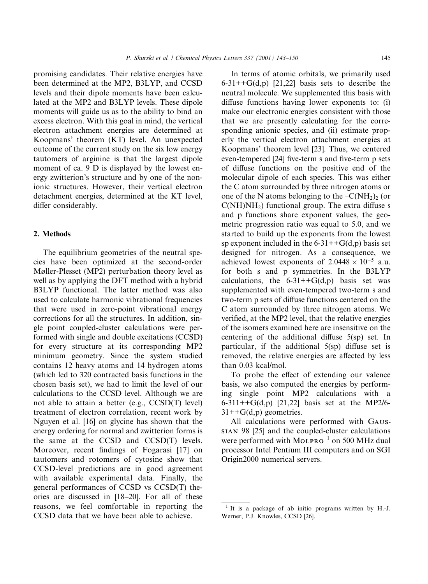promising candidates. Their relative energies have been determined at the MP2, B3LYP, and CCSD levels and their dipole moments have been calculated at the MP2 and B3LYP levels. These dipole moments will guide us as to the ability to bind an excess electron. With this goal in mind, the vertical electron attachment energies are determined at Koopmans' theorem (KT) level. An unexpected outcome of the current study on the six low energy tautomers of arginine is that the largest dipole moment of ca. 9 D is displayed by the lowest energy zwitterion's structure and by one of the nonionic structures. However, their vertical electron detachment energies, determined at the KT level, differ considerably.

## 2. Methods

The equilibrium geometries of the neutral species have been optimized at the second-order Møller-Plesset (MP2) perturbation theory level as well as by applying the DFT method with a hybrid B3LYP functional. The latter method was also used to calculate harmonic vibrational frequencies that were used in zero-point vibrational energy corrections for all the structures. In addition, single point coupled-cluster calculations were performed with single and double excitations (CCSD) for every structure at its corresponding MP2 minimum geometry. Since the system studied contains 12 heavy atoms and 14 hydrogen atoms (which led to 320 contracted basis functions in the chosen basis set), we had to limit the level of our calculations to the CCSD level. Although we are not able to attain a better (e.g., CCSD(T) level) treatment of electron correlation, recent work by Nguyen et al. [16] on glycine has shown that the energy ordering for normal and zwitterion forms is the same at the CCSD and CCSD(T) levels. Moreover, recent findings of Fogarasi [17] on tautomers and rotomers of cytosine show that CCSD-level predictions are in good agreement with available experimental data. Finally, the general performances of CCSD vs CCSD(T) theories are discussed in [18-20]. For all of these reasons, we feel comfortable in reporting the CCSD data that we have been able to achieve.

In terms of atomic orbitals, we primarily used  $6-31++G(d,p)$  [21,22] basis sets to describe the neutral molecule. We supplemented this basis with diffuse functions having lower exponents to: (i) make our electronic energies consistent with those that we are presently calculating for the corresponding anionic species, and (ii) estimate properly the vertical electron attachment energies at Koopmans' theorem level [23]. Thus, we centered even-tempered [24] five-term s and five-term p sets of diffuse functions on the positive end of the molecular dipole of each species. This was either the C atom surrounded by three nitrogen atoms or one of the N atoms belonging to the  $-C(NH_2)$  (or  $C(NH)NH<sub>2</sub>$ ) functional group. The extra diffuse s and p functions share exponent values, the geometric progression ratio was equal to 5.0, and we started to build up the exponents from the lowest sp exponent included in the  $6-31++G(d,p)$  basis set designed for nitrogen. As a consequence, we achieved lowest exponents of  $2.0448 \times 10^{-5}$  a.u. for both s and p symmetries. In the B3LYP calculations, the  $6-31++G(d,p)$  basis set was supplemented with even-tempered two-term s and two-term p sets of diffuse functions centered on the C atom surrounded by three nitrogen atoms. We verified, at the MP2 level, that the relative energies of the isomers examined here are insensitive on the centering of the additional diffuse  $5(sp)$  set. In particular, if the additional  $5(sp)$  diffuse set is removed, the relative energies are affected by less than 0.03 kcal/mol.

To probe the effect of extending our valence basis, we also computed the energies by performing single point MP2 calculations with a 6-311++ $G(d,p)$  [21,22] basis set at the MP2/6- $31++G(d,p)$  geometries.

All calculations were performed with GAUS-SIAN 98 [25] and the coupled-cluster calculations were performed with MOLPRO $^{-1}$  on 500 MHz dual processor Intel Pentium III computers and on SGI Origin2000 numerical servers.

 $1$  It is a package of ab initio programs written by H.-J. Werner, P.J. Knowles, CCSD [26].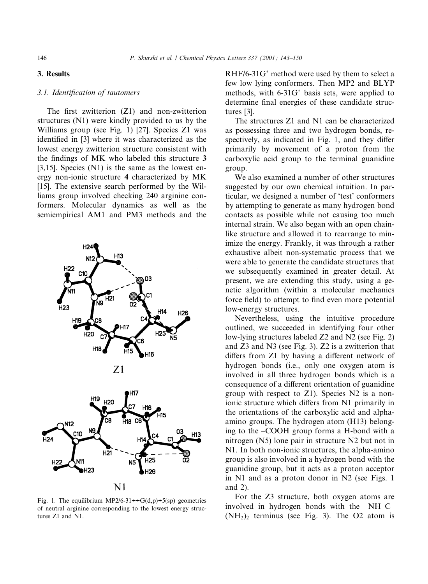## 3. Results

### 3.1. Identification of tautomers

The first zwitterion  $(Z1)$  and non-zwitterion structures (N1) were kindly provided to us by the Williams group (see Fig. 1) [27]. Species Z1 was identified in [3] where it was characterized as the lowest energy zwitterion structure consistent with the findings of MK who labeled this structure 3 [3,15]. Species  $(N1)$  is the same as the lowest energy non-ionic structure 4 characterized by MK [15]. The extensive search performed by the Williams group involved checking 240 arginine conformers. Molecular dynamics as well as the semiempirical AM1 and PM3 methods and the



Fig. 1. The equilibrium MP2/6-31++G(d,p)+5(sp) geometries of neutral arginine corresponding to the lowest energy structures Z1 and N1.

RHF/6-31G\* method were used by them to select a few low lying conformers. Then MP2 and BLYP methods, with 6-31G\* basis sets, were applied to determine final energies of these candidate structures [3].

The structures Z1 and N1 can be characterized as possessing three and two hydrogen bonds, respectively, as indicated in Fig. 1, and they differ primarily by movement of a proton from the carboxylic acid group to the terminal guanidine group.

We also examined a number of other structures suggested by our own chemical intuition. In particular, we designed a number of 'test' conformers by attempting to generate as many hydrogen bond contacts as possible while not causing too much internal strain. We also began with an open chainlike structure and allowed it to rearrange to minimize the energy. Frankly, it was through a rather exhaustive albeit non-systematic process that we were able to generate the candidate structures that we subsequently examined in greater detail. At present, we are extending this study, using a genetic algorithm (within a molecular mechanics force field) to attempt to find even more potential low-energy structures.

Nevertheless, using the intuitive procedure outlined, we succeeded in identifying four other low-lying structures labeled Z2 and N2 (see Fig. 2) and  $Z3$  and  $N3$  (see Fig. 3).  $Z2$  is a zwitterion that differs from Z1 by having a different network of hydrogen bonds (i.e., only one oxygen atom is involved in all three hydrogen bonds which is a consequence of a different orientation of guanidine group with respect to  $Z1$ ). Species N2 is a nonionic structure which differs from N1 primarily in the orientations of the carboxylic acid and alphaamino groups. The hydrogen atom (H13) belonging to the -COOH group forms a H-bond with a nitrogen (N5) lone pair in structure N2 but not in N1. In both non-ionic structures, the alpha-amino group is also involved in a hydrogen bond with the guanidine group, but it acts as a proton acceptor in N1 and as a proton donor in N2 (see Figs. 1 and  $2$ ).

For the Z3 structure, both oxygen atoms are involved in hydrogen bonds with the -NH-C- $(NH<sub>2</sub>)<sub>2</sub>$  terminus (see Fig. 3). The O2 atom is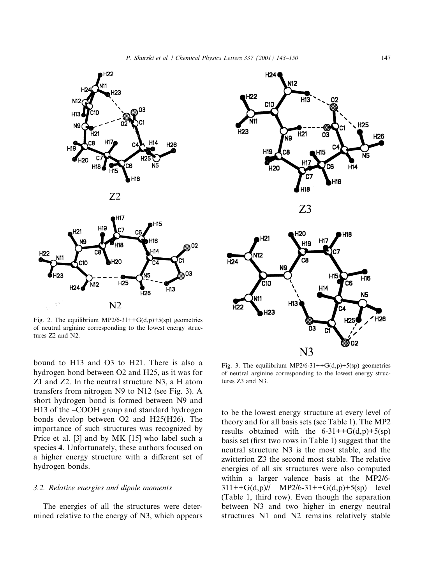

Fig. 2. The equilibrium MP2/6-31++G(d,p)+5(sp) geometries of neutral arginine corresponding to the lowest energy structures Z2 and N2.

bound to H13 and O3 to H21. There is also a hydrogen bond between O2 and H25, as it was for Z1 and Z2. In the neutral structure N3, a H atom transfers from nitrogen N9 to N12 (see Fig. 3). A short hydrogen bond is formed between N9 and H13 of the -COOH group and standard hydrogen bonds develop between O2 and H25(H26). The importance of such structures was recognized by Price et al. [3] and by MK [15] who label such a species 4. Unfortunately, these authors focused on a higher energy structure with a different set of hydrogen bonds.

## 3.2. Relative energies and dipole moments

The energies of all the structures were determined relative to the energy of N3, which appears



Fig. 3. The equilibrium MP2/6-31++ $G(d,p)$ +5(sp) geometries of neutral arginine corresponding to the lowest energy structures Z3 and N3.

to be the lowest energy structure at every level of theory and for all basis sets (see Table 1). The MP2 results obtained with the  $6-31++G(d,p)+5(sp)$ basis set (first two rows in Table 1) suggest that the neutral structure N3 is the most stable, and the zwitterion Z3 the second most stable. The relative energies of all six structures were also computed within a larger valence basis at the MP2/6- $311++G(d,p)//$  MP2/6-31++G(d,p)+5(sp) level (Table 1, third row). Even though the separation between N3 and two higher in energy neutral structures N1 and N2 remains relatively stable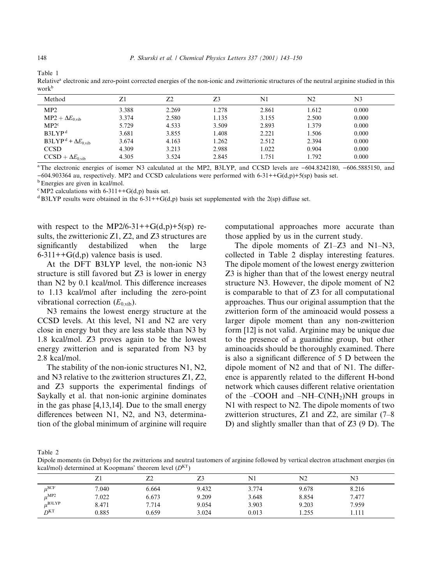| Relative" electronic and zero-point corrected energies of the non-ionic and zwitterfolic structures of the neutral arginme studied in this<br>work <sup>b</sup> |       |       |       |       |       |       |  |  |  |  |
|-----------------------------------------------------------------------------------------------------------------------------------------------------------------|-------|-------|-------|-------|-------|-------|--|--|--|--|
| Method                                                                                                                                                          |       | 72    | 73    | N1    | N2    | N3    |  |  |  |  |
| MP2                                                                                                                                                             | 3.388 | 2.269 | 1.278 | 2.861 | 1.612 | 0.000 |  |  |  |  |
| $MP2 + \Delta E_{0, \text{vib}}$                                                                                                                                | 3.374 | 2.580 | 1.135 | 3.155 | 2.500 | 0.000 |  |  |  |  |
| MP2 <sup>c</sup>                                                                                                                                                | 5.729 | 4.533 | 3.509 | 2.893 | 1.379 | 0.000 |  |  |  |  |
| B3LYP <sup>d</sup>                                                                                                                                              | 3.681 | 3.855 | 1.408 | 2.221 | 1.506 | 0.000 |  |  |  |  |
| $B3LYP^d + \Delta E_{0 \text{ vib}}$                                                                                                                            | 3.674 | 4.163 | 1.262 | 2.512 | 2.394 | 0.000 |  |  |  |  |

Table 1

**CCSD** 

 $CCSD + \Delta E_{0, \text{vib}}$ 

<sup>a</sup>The electronic energies of isomer N3 calculated at the MP2, B3LYP, and CCSD levels are -604.8242180, -606.5885150, and -604.903364 au, respectively. MP2 and CCSD calculations were performed with  $6-31++G(d,p)+5(sp)$  basis set.

2.988

2.845

1.022

1.751

<sup>b</sup> Energies are given in kcal/mol.

<sup>c</sup>MP2 calculations with 6-311++G(d,p) basis set.

<sup>d</sup> B3LYP results were obtained in the 6-31++G(d,p) basis set supplemented with the 2(sp) diffuse set.

3.213

3.524

with respect to the MP2/6-31++G(d,p)+5(sp) results, the zwitterionic Z1, Z2, and Z3 structures are significantly destabilized when the large  $6-311++G(d,p)$  valence basis is used.

4.309

4.305

At the DFT B3LYP level, the non-ionic N3 structure is still favored but Z3 is lower in energy than N2 by 0.1 kcal/mol. This difference increases to 1.13 kcal/mol after including the zero-point vibrational correction  $(E_{0,\text{vib}})$ .

N3 remains the lowest energy structure at the CCSD levels. At this level, N1 and N2 are very close in energy but they are less stable than N3 by 1.8 kcal/mol. Z3 proves again to be the lowest energy zwitterion and is separated from N3 by 2.8 kcal/mol.

The stability of the non-ionic structures N1, N2, and N3 relative to the zwitterion structures Z1, Z2, and Z3 supports the experimental findings of Saykally et al. that non-ionic arginine dominates in the gas phase  $[4,13,14]$ . Due to the small energy differences between N1, N2, and N3, determination of the global minimum of arginine will require computational approaches more accurate than those applied by us in the current study.

0.904

1.792

 $0.000$ 

 $0.000$ 

The dipole moments of  $Z1-Z3$  and  $N1-N3$ , collected in Table 2 display interesting features. The dipole moment of the lowest energy zwitterion Z3 is higher than that of the lowest energy neutral structure N3. However, the dipole moment of N2 is comparable to that of Z3 for all computational approaches. Thus our original assumption that the zwitterion form of the aminoacid would possess a larger dipole moment than any non-zwitterion form [12] is not valid. Arginine may be unique due to the presence of a guanidine group, but other aminoacids should be thoroughly examined. There is also a significant difference of 5 D between the dipole moment of N2 and that of N1. The difference is apparently related to the different H-bond network which causes different relative orientation of the  $-COOH$  and  $-NH-C(NH_2)NH$  groups in N1 with respect to N2. The dipole moments of two zwitterion structures, Z1 and Z2, are similar  $(7-8)$ D) and slightly smaller than that of  $Z3$  (9 D). The

Table 2

Dipole moments (in Debye) for the zwitterions and neutral tautomers of arginine followed by vertical electron attachment energies (in kcal/mol) determined at Koopmans' theorem level  $(D<sup>KT</sup>)$ 

|                    | Z1    | Z2    | Z3    | N1    | N2    | N3    |  |
|--------------------|-------|-------|-------|-------|-------|-------|--|
| $\mu$ SCF          | 7.040 | 6.664 | 9.432 | 3.774 | 9.678 | 8.216 |  |
| $\mu^{\text{MP2}}$ | 7.022 | 6.673 | 9.209 | 3.648 | 8.854 | 7.477 |  |
| $\mu^{\rm B3LYP}$  | 8.471 | 7.714 | 9.054 | 3.903 | 9.203 | 7.959 |  |
| D <sup>KT</sup>    | 0.885 | 0.659 | 3.024 | 0.013 | 1.255 | 1.111 |  |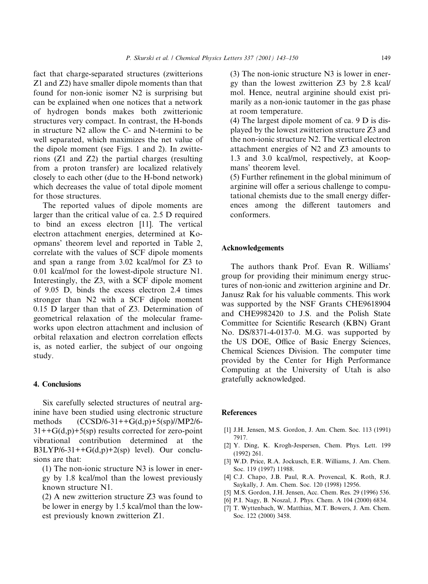fact that charge-separated structures (zwitterions) Z1 and Z2) have smaller dipole moments than that found for non-ionic isomer N2 is surprising but can be explained when one notices that a network of hydrogen bonds makes both zwitterionic structures very compact. In contrast, the H-bonds in structure N2 allow the C- and N-termini to be well separated, which maximizes the net value of the dipole moment (see Figs. 1 and 2). In zwitterions (Z1 and Z2) the partial charges (resulting from a proton transfer) are localized relatively closely to each other (due to the H-bond network) which decreases the value of total dipole moment for those structures.

The reported values of dipole moments are larger than the critical value of ca. 2.5 D required to bind an excess electron [11]. The vertical electron attachment energies, determined at Koopmans' theorem level and reported in Table 2, correlate with the values of SCF dipole moments and span a range from 3.02 kcal/mol for Z3 to 0.01 kcal/mol for the lowest-dipole structure N1. Interestingly, the Z3, with a SCF dipole moment of 9.05 D, binds the excess electron 2.4 times stronger than N2 with a SCF dipole moment  $0.15$  D larger than that of Z3. Determination of geometrical relaxation of the molecular frameworks upon electron attachment and inclusion of orbital relaxation and electron correlation effects is, as noted earlier, the subject of our ongoing study.

## 4. Conclusions

Six carefully selected structures of neutral arginine have been studied using electronic structure  $(CCSD/6-31++G(d,p)+5(sp)/<sub>MP2</sub>/6$ methods  $31++G(d,p)+5(sp)$  results corrected for zero-point vibrational contribution determined at the  $B3LYP/6-31++G(d,p)+2(sp)$  level). Our conclusions are that:

 $(1)$  The non-ionic structure N3 is lower in energy by 1.8 kcal/mol than the lowest previously known structure N1.

 $(2)$  A new zwitterion structure Z3 was found to be lower in energy by 1.5 kcal/mol than the lowest previously known zwitterion Z1.

 $(3)$  The non-ionic structure N3 is lower in energy than the lowest zwitterion Z3 by 2.8 kcal/ mol. Hence, neutral arginine should exist primarily as a non-ionic tautomer in the gas phase at room temperature.

 $(4)$  The largest dipole moment of ca. 9 D is displayed by the lowest zwitterion structure Z3 and the non-ionic structure N2. The vertical electron attachment energies of N2 and Z3 amounts to 1.3 and 3.0 kcal/mol, respectively, at Koopmans' theorem level.

(5) Further refinement in the global minimum of arginine will offer a serious challenge to computational chemists due to the small energy differences among the different tautomers and conformers.

#### **Acknowledgements**

The authors thank Prof. Evan R. Williams' group for providing their minimum energy structures of non-ionic and zwitterion arginine and Dr. Janusz Rak for his valuable comments. This work was supported by the NSF Grants CHE9618904 and CHE9982420 to J.S. and the Polish State Committee for Scientific Research (KBN) Grant No. DS/8371-4-0137-0. M.G. was supported by the US DOE, Office of Basic Energy Sciences, Chemical Sciences Division. The computer time provided by the Center for High Performance Computing at the University of Utah is also gratefully acknowledged.

#### **References**

- [1] J.H. Jensen, M.S. Gordon, J. Am. Chem. Soc. 113 (1991) 7917.
- [2] Y. Ding, K. Krogh-Jespersen, Chem. Phys. Lett. 199  $(1992)$  261.
- [3] W.D. Price, R.A. Jockusch, E.R. Williams, J. Am. Chem. Soc. 119 (1997) 11988.
- [4] C.J. Chapo, J.B. Paul, R.A. Provencal, K. Roth, R.J. Saykally, J. Am. Chem. Soc. 120 (1998) 12956.
- [5] M.S. Gordon, J.H. Jensen, Acc. Chem. Res. 29 (1996) 536.
- [6] P.I. Nagy, B. Noszal, J. Phys. Chem. A 104 (2000) 6834.
- [7] T. Wyttenbach, W. Matthias, M.T. Bowers, J. Am. Chem. Soc. 122 (2000) 3458.